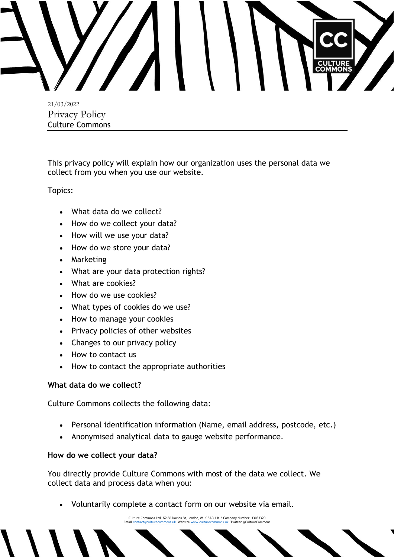

21/03/2022 Privacy Policy Culture Commons

This privacy policy will explain how our organization uses the personal data we collect from you when you use our website.

Topics:

- What data do we collect?
- How do we collect your data?
- How will we use your data?
- How do we store your data?
- Marketing
- What are your data protection rights?
- What are cookies?
- How do we use cookies?
- What types of cookies do we use?
- How to manage your cookies
- Privacy policies of other websites
- Changes to our privacy policy
- How to contact us
- How to contact the appropriate authorities

# **What data do we collect?**

Culture Commons collects the following data:

- Personal identification information (Name, email address, postcode, etc.)
- Anonymised analytical data to gauge website performance.

# **How do we collect your data?**

You directly provide Culture Commons with most of the data we collect. We collect data and process data when you:

• Voluntarily complete a contact form on our website via email.

Culture Commons Ltd. 52-56 Davies St, London, W1K 5AB, UK / Company Number: 13053320 Emai[l contact@culturecommons.uk](mailto:contact@culturecommons.uk) Websit[e www.culturecommons.uk](http://www.culturecommons.uk/) Twitter @CultureCommons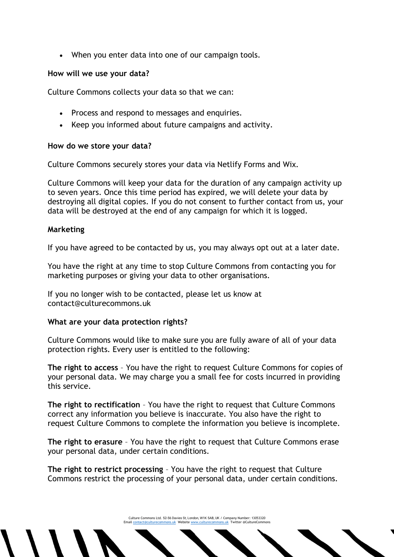• When you enter data into one of our campaign tools.

## **How will we use your data?**

Culture Commons collects your data so that we can:

- Process and respond to messages and enquiries.
- Keep you informed about future campaigns and activity.

# **How do we store your data?**

Culture Commons securely stores your data via Netlify Forms and Wix.

Culture Commons will keep your data for the duration of any campaign activity up to seven years. Once this time period has expired, we will delete your data by destroying all digital copies. If you do not consent to further contact from us, your data will be destroyed at the end of any campaign for which it is logged.

## **Marketing**

If you have agreed to be contacted by us, you may always opt out at a later date.

You have the right at any time to stop Culture Commons from contacting you for marketing purposes or giving your data to other organisations.

If you no longer wish to be contacted, please let us know at contact@culturecommons.uk

# **What are your data protection rights?**

Culture Commons would like to make sure you are fully aware of all of your data protection rights. Every user is entitled to the following:

**The right to access** – You have the right to request Culture Commons for copies of your personal data. We may charge you a small fee for costs incurred in providing this service.

**The right to rectification** – You have the right to request that Culture Commons correct any information you believe is inaccurate. You also have the right to request Culture Commons to complete the information you believe is incomplete.

**The right to erasure** – You have the right to request that Culture Commons erase your personal data, under certain conditions.

**The right to restrict processing** – You have the right to request that Culture Commons restrict the processing of your personal data, under certain conditions.

Culture Commons Ltd. 52-56 Davies St, London, W1K 5AB, UK / Company Number: 13053320 Emai[l contact@culturecommons.uk](mailto:contact@culturecommons.uk) Websit[e www.culturecommons.uk](http://www.culturecommons.uk/) Twitter @CultureCommons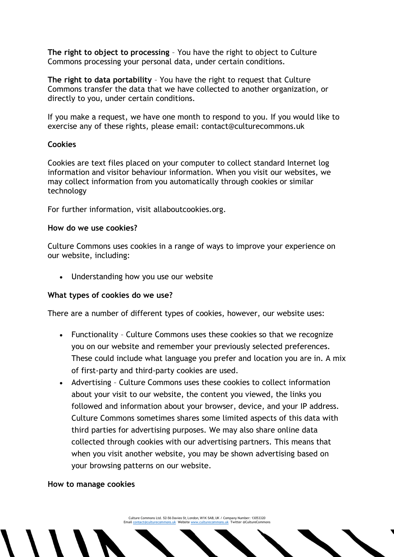**The right to object to processing** – You have the right to object to Culture Commons processing your personal data, under certain conditions.

**The right to data portability** – You have the right to request that Culture Commons transfer the data that we have collected to another organization, or directly to you, under certain conditions.

If you make a request, we have one month to respond to you. If you would like to exercise any of these rights, please email: contact@culturecommons.uk

# **Cookies**

Cookies are text files placed on your computer to collect standard Internet log information and visitor behaviour information. When you visit our websites, we may collect information from you automatically through cookies or similar technology

For further information, visit allaboutcookies.org.

## **How do we use cookies?**

Culture Commons uses cookies in a range of ways to improve your experience on our website, including:

• Understanding how you use our website

# **What types of cookies do we use?**

There are a number of different types of cookies, however, our website uses:

- Functionality Culture Commons uses these cookies so that we recognize you on our website and remember your previously selected preferences. These could include what language you prefer and location you are in. A mix of first-party and third-party cookies are used.
- Advertising Culture Commons uses these cookies to collect information about your visit to our website, the content you viewed, the links you followed and information about your browser, device, and your IP address. Culture Commons sometimes shares some limited aspects of this data with third parties for advertising purposes. We may also share online data collected through cookies with our advertising partners. This means that when you visit another website, you may be shown advertising based on your browsing patterns on our website.

# **How to manage cookies**

Culture Commons Ltd. 52-56 Davies St, London, W1K 5AB, UK / Company Number: 13053320 Emai[l contact@culturecommons.uk](mailto:contact@culturecommons.uk) Websit[e www.culturecommons.uk](http://www.culturecommons.uk/) Twitter @CultureCommons